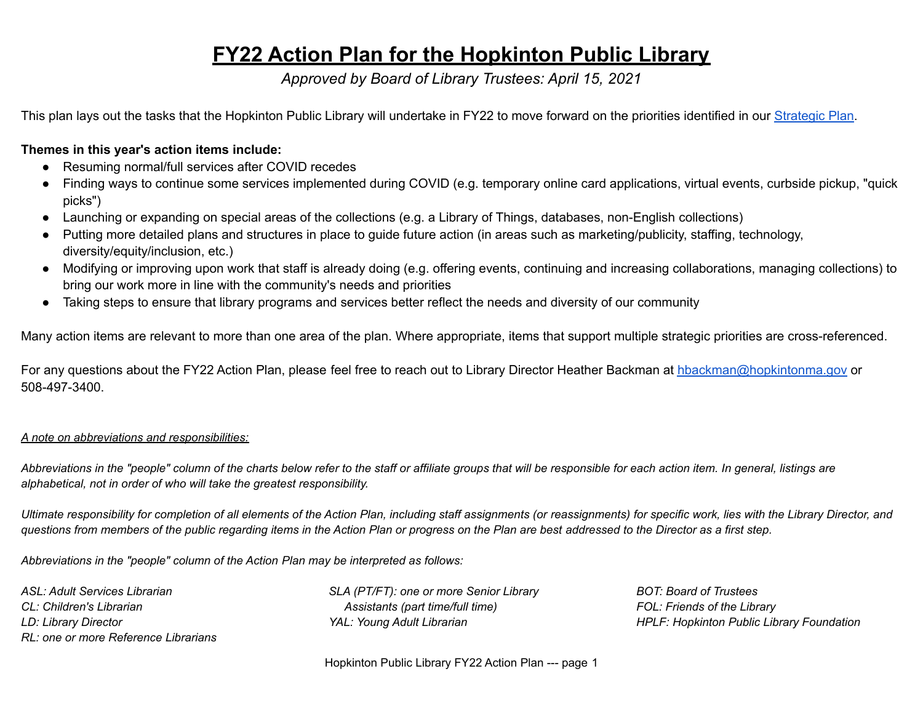#### **FY22 Action Plan for the Hopkinton Public Library**

*Approved by Board of Library Trustees: April 15, 2021*

This plan lays out the tasks that the Hopkinton Public Library will undertake in FY22 to move forward on the priorities identified in our [Strategic](https://www.hopkintonlibrary.org/ckfinder/userfiles/files/Hopkinton%20Public%20Library%20Strategic%20Plan%20FY%202022-2027%20FINAL.pdf) Plan.

#### **Themes in this year's action items include:**

- Resuming normal/full services after COVID recedes
- Finding ways to continue some services implemented during COVID (e.g. temporary online card applications, virtual events, curbside pickup, "quick picks")
- Launching or expanding on special areas of the collections (e.g. a Library of Things, databases, non-English collections)
- Putting more detailed plans and structures in place to guide future action (in areas such as marketing/publicity, staffing, technology, diversity/equity/inclusion, etc.)
- Modifying or improving upon work that staff is already doing (e.g. offering events, continuing and increasing collaborations, managing collections) to bring our work more in line with the community's needs and priorities
- Taking steps to ensure that library programs and services better reflect the needs and diversity of our community

Many action items are relevant to more than one area of the plan. Where appropriate, items that support multiple strategic priorities are cross-referenced.

For any questions about the FY22 Action Plan, please feel free to reach out to Library Director Heather Backman at [hbackman@hopkintonma.gov](mailto:hbackman@hopkintonma.gov) or 508-497-3400.

#### *A note on abbreviations and responsibilities:*

Abbreviations in the "people" column of the charts below refer to the staff or affiliate groups that will be responsible for each action item. In general, listings are *alphabetical, not in order of who will take the greatest responsibility.*

Ultimate responsibility for completion of all elements of the Action Plan, including staff assignments (or reassignments) for specific work, lies with the Library Director, and questions from members of the public regarding items in the Action Plan or progress on the Plan are best addressed to the Director as a first step.

*Abbreviations in the "people" column of the Action Plan may be interpreted as follows:*

*ASL: Adult Services Librarian CL: Children's Librarian LD: Library Director RL: one or more Reference Librarians* *SLA (PT/FT): one or more Senior Library Assistants (part time/full time) YAL: Young Adult Librarian*

*BOT: Board of Trustees FOL: Friends of the Library HPLF: Hopkinton Public Library Foundation*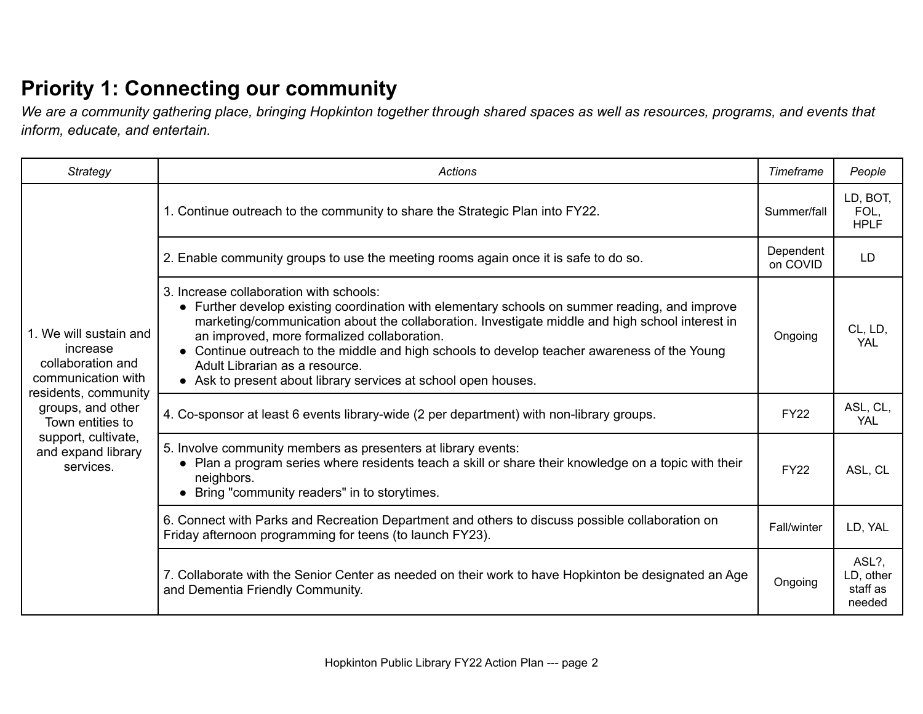# **Priority 1: Connecting our community**

*We are a community gathering place, bringing Hopkinton together through shared spaces as well as resources, programs, and events that inform, educate, and entertain.*

| Strategy                                                                      | Actions                                                                                                                                                                                                                                                                                                                                                                                                                                                                                         | Timeframe             | People                                   |
|-------------------------------------------------------------------------------|-------------------------------------------------------------------------------------------------------------------------------------------------------------------------------------------------------------------------------------------------------------------------------------------------------------------------------------------------------------------------------------------------------------------------------------------------------------------------------------------------|-----------------------|------------------------------------------|
|                                                                               | 1. Continue outreach to the community to share the Strategic Plan into FY22.                                                                                                                                                                                                                                                                                                                                                                                                                    | Summer/fall           | LD, BOT,<br>FOL,<br><b>HPLF</b>          |
|                                                                               | 2. Enable community groups to use the meeting rooms again once it is safe to do so.                                                                                                                                                                                                                                                                                                                                                                                                             | Dependent<br>on COVID | LD                                       |
| 1. We will sustain and<br>increase<br>collaboration and<br>communication with | 3. Increase collaboration with schools:<br>• Further develop existing coordination with elementary schools on summer reading, and improve<br>marketing/communication about the collaboration. Investigate middle and high school interest in<br>an improved, more formalized collaboration.<br>• Continue outreach to the middle and high schools to develop teacher awareness of the Young<br>Adult Librarian as a resource.<br>• Ask to present about library services at school open houses. | Ongoing               | CL, LD,<br><b>YAL</b>                    |
| residents, community<br>groups, and other<br>Town entities to                 | 4. Co-sponsor at least 6 events library-wide (2 per department) with non-library groups.                                                                                                                                                                                                                                                                                                                                                                                                        | <b>FY22</b>           | ASL, CL,<br><b>YAL</b>                   |
| support, cultivate,<br>and expand library<br>services.                        | 5. Involve community members as presenters at library events:<br>• Plan a program series where residents teach a skill or share their knowledge on a topic with their<br>neighbors.<br>• Bring "community readers" in to storytimes.                                                                                                                                                                                                                                                            | <b>FY22</b>           | ASL, CL                                  |
|                                                                               | 6. Connect with Parks and Recreation Department and others to discuss possible collaboration on<br>Friday afternoon programming for teens (to launch FY23).                                                                                                                                                                                                                                                                                                                                     | <b>Fall/winter</b>    | LD, YAL                                  |
|                                                                               | 7. Collaborate with the Senior Center as needed on their work to have Hopkinton be designated an Age<br>and Dementia Friendly Community.                                                                                                                                                                                                                                                                                                                                                        | Ongoing               | ASL?,<br>LD, other<br>staff as<br>needed |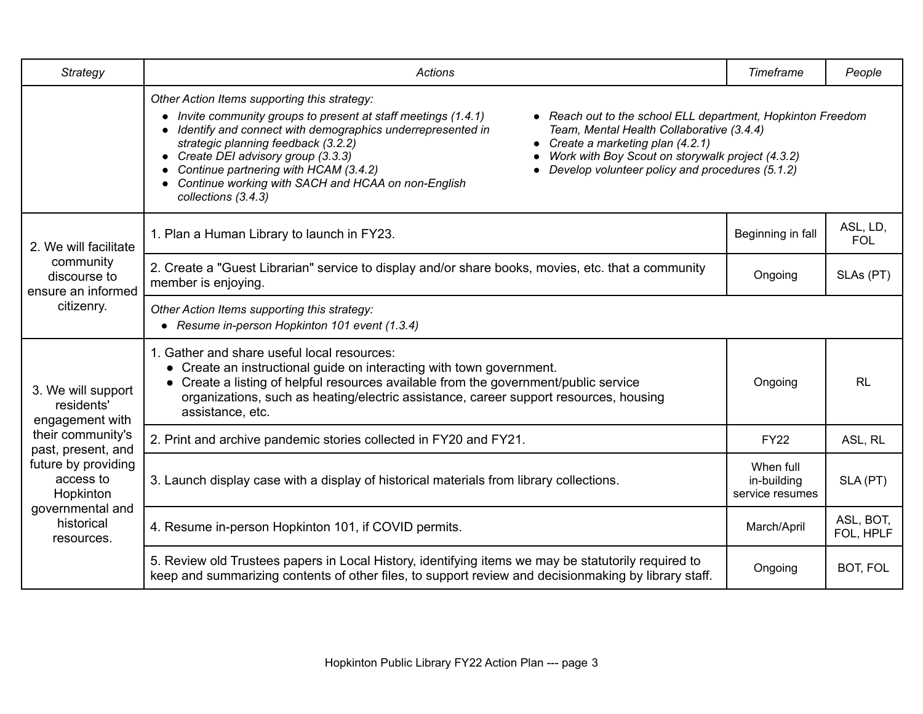| <b>Strategy</b>                                                                               | <b>Actions</b>                                                                                                                                                                                                                                                                                                                                                                                                                                                                                                                                                                                                                     | Timeframe                                   | People                 |
|-----------------------------------------------------------------------------------------------|------------------------------------------------------------------------------------------------------------------------------------------------------------------------------------------------------------------------------------------------------------------------------------------------------------------------------------------------------------------------------------------------------------------------------------------------------------------------------------------------------------------------------------------------------------------------------------------------------------------------------------|---------------------------------------------|------------------------|
|                                                                                               | Other Action Items supporting this strategy:<br>• Reach out to the school ELL department, Hopkinton Freedom<br>Invite community groups to present at staff meetings (1.4.1)<br>Identify and connect with demographics underrepresented in<br>Team, Mental Health Collaborative (3.4.4)<br>strategic planning feedback (3.2.2)<br>Create a marketing plan (4.2.1)<br>Work with Boy Scout on storywalk project (4.3.2)<br>Create DEI advisory group (3.3.3)<br>Continue partnering with HCAM (3.4.2)<br>Develop volunteer policy and procedures (5.1.2)<br>Continue working with SACH and HCAA on non-English<br>collections (3.4.3) |                                             |                        |
| 2. We will facilitate                                                                         | 1. Plan a Human Library to launch in FY23.                                                                                                                                                                                                                                                                                                                                                                                                                                                                                                                                                                                         | Beginning in fall                           | ASL, LD,<br><b>FOL</b> |
| community<br>discourse to<br>ensure an informed                                               | 2. Create a "Guest Librarian" service to display and/or share books, movies, etc. that a community<br>member is enjoying.                                                                                                                                                                                                                                                                                                                                                                                                                                                                                                          | Ongoing                                     | SLAs (PT)              |
| citizenry.                                                                                    | Other Action Items supporting this strategy:<br>• Resume in-person Hopkinton 101 event (1.3.4)                                                                                                                                                                                                                                                                                                                                                                                                                                                                                                                                     |                                             |                        |
| 3. We will support<br>residents'<br>engagement with                                           | 1. Gather and share useful local resources:<br>• Create an instructional guide on interacting with town government.<br>• Create a listing of helpful resources available from the government/public service<br>organizations, such as heating/electric assistance, career support resources, housing<br>assistance, etc.                                                                                                                                                                                                                                                                                                           | Ongoing                                     | <b>RL</b>              |
| their community's<br>past, present, and                                                       | 2. Print and archive pandemic stories collected in FY20 and FY21.                                                                                                                                                                                                                                                                                                                                                                                                                                                                                                                                                                  | <b>FY22</b>                                 | ASL, RL                |
| future by providing<br>access to<br>Hopkinton<br>governmental and<br>historical<br>resources. | 3. Launch display case with a display of historical materials from library collections.                                                                                                                                                                                                                                                                                                                                                                                                                                                                                                                                            | When full<br>in-building<br>service resumes | SLA (PT)               |
|                                                                                               | 4. Resume in-person Hopkinton 101, if COVID permits.                                                                                                                                                                                                                                                                                                                                                                                                                                                                                                                                                                               | March/April                                 | ASL, BOT,<br>FOL, HPLF |
|                                                                                               | 5. Review old Trustees papers in Local History, identifying items we may be statutorily required to<br>keep and summarizing contents of other files, to support review and decisionmaking by library staff.                                                                                                                                                                                                                                                                                                                                                                                                                        | Ongoing                                     | BOT, FOL               |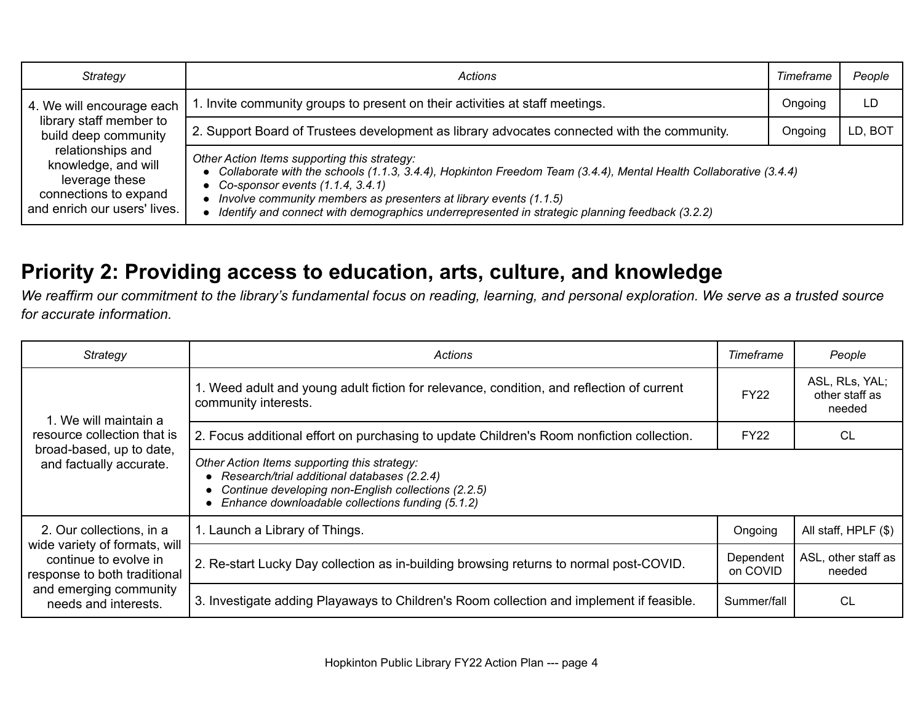| Strategy                                                                                                                                                                                            | <b>Actions</b>                                                                                                                                                                                                                                                                                                                                                                    | Timeframe | People  |
|-----------------------------------------------------------------------------------------------------------------------------------------------------------------------------------------------------|-----------------------------------------------------------------------------------------------------------------------------------------------------------------------------------------------------------------------------------------------------------------------------------------------------------------------------------------------------------------------------------|-----------|---------|
| 4. We will encourage each<br>library staff member to<br>build deep community<br>relationships and<br>knowledge, and will<br>leverage these<br>connections to expand<br>and enrich our users' lives. | 1. Invite community groups to present on their activities at staff meetings.                                                                                                                                                                                                                                                                                                      | Ongoing   | LD      |
|                                                                                                                                                                                                     | 2. Support Board of Trustees development as library advocates connected with the community.                                                                                                                                                                                                                                                                                       | Ongoing   | LD, BOT |
|                                                                                                                                                                                                     | Other Action Items supporting this strategy:<br>• Collaborate with the schools (1.1.3, 3.4.4), Hopkinton Freedom Team (3.4.4), Mental Health Collaborative (3.4.4)<br>• Co-sponsor events $(1.1.4, 3.4.1)$<br>Involve community members as presenters at library events (1.1.5)<br>Identify and connect with demographics underrepresented in strategic planning feedback (3.2.2) |           |         |

### **Priority 2: Providing access to education, arts, culture, and knowledge**

*We reaffirm our commitment to the library's fundamental focus on reading, learning, and personal exploration. We serve as a trusted source for accurate information.*

| Strategy                                                                                                                                                             | Actions                                                                                                                                                                                                  | Timeframe             | People                                     |
|----------------------------------------------------------------------------------------------------------------------------------------------------------------------|----------------------------------------------------------------------------------------------------------------------------------------------------------------------------------------------------------|-----------------------|--------------------------------------------|
|                                                                                                                                                                      | 1. Weed adult and young adult fiction for relevance, condition, and reflection of current<br>community interests.                                                                                        | <b>FY22</b>           | ASL, RLs, YAL;<br>other staff as<br>needed |
| 1. We will maintain a<br>resource collection that is                                                                                                                 | 2. Focus additional effort on purchasing to update Children's Room nonfiction collection.                                                                                                                | <b>FY22</b>           | CL                                         |
| broad-based, up to date,<br>and factually accurate.                                                                                                                  | Other Action Items supporting this strategy:<br>• Research/trial additional databases (2.2.4)<br>Continue developing non-English collections (2.2.5)<br>Enhance downloadable collections funding (5.1.2) |                       |                                            |
| 2. Our collections, in a<br>wide variety of formats, will<br>continue to evolve in<br>response to both traditional<br>and emerging community<br>needs and interests. | 1. Launch a Library of Things.                                                                                                                                                                           | Ongoing               | All staff, HPLF (\$)                       |
|                                                                                                                                                                      | 2. Re-start Lucky Day collection as in-building browsing returns to normal post-COVID.                                                                                                                   | Dependent<br>on COVID | ASL, other staff as<br>needed              |
|                                                                                                                                                                      | 3. Investigate adding Playaways to Children's Room collection and implement if feasible.                                                                                                                 | Summer/fall           | <b>CL</b>                                  |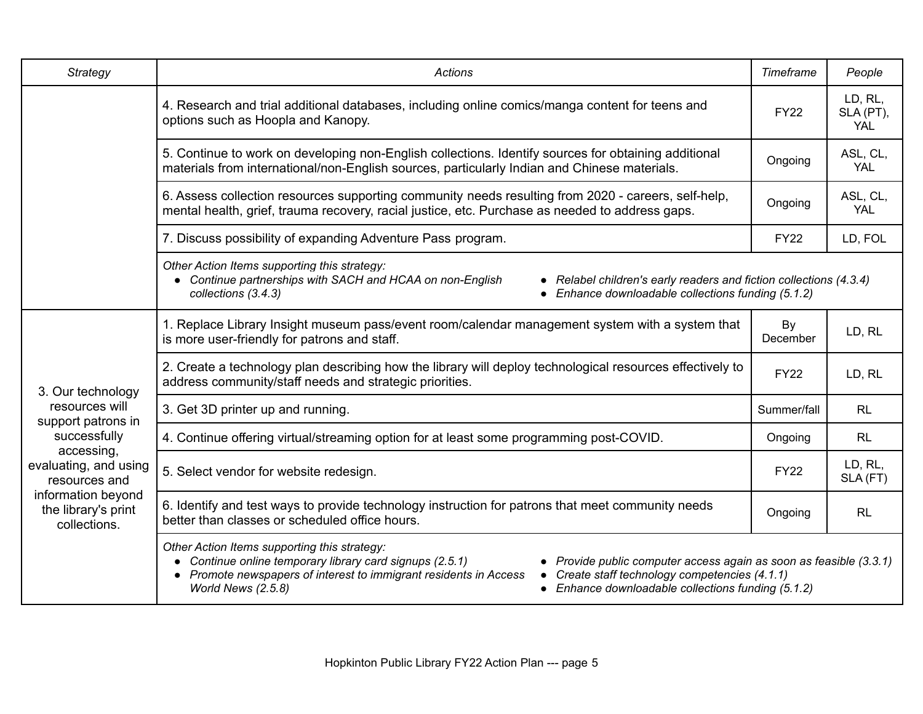| <b>Strategy</b>                                                                                                   | Actions                                                                                                                                                                                                                                                                                                                                                                           | Timeframe      | People                             |
|-------------------------------------------------------------------------------------------------------------------|-----------------------------------------------------------------------------------------------------------------------------------------------------------------------------------------------------------------------------------------------------------------------------------------------------------------------------------------------------------------------------------|----------------|------------------------------------|
|                                                                                                                   | 4. Research and trial additional databases, including online comics/manga content for teens and<br>options such as Hoopla and Kanopy.                                                                                                                                                                                                                                             | <b>FY22</b>    | LD, RL,<br>SLA (PT),<br><b>YAL</b> |
|                                                                                                                   | 5. Continue to work on developing non-English collections. Identify sources for obtaining additional<br>materials from international/non-English sources, particularly Indian and Chinese materials.                                                                                                                                                                              | Ongoing        | ASL, CL,<br><b>YAL</b>             |
|                                                                                                                   | 6. Assess collection resources supporting community needs resulting from 2020 - careers, self-help,<br>mental health, grief, trauma recovery, racial justice, etc. Purchase as needed to address gaps.                                                                                                                                                                            | Ongoing        | ASL, CL,<br><b>YAL</b>             |
|                                                                                                                   | 7. Discuss possibility of expanding Adventure Pass program.                                                                                                                                                                                                                                                                                                                       | <b>FY22</b>    | LD, FOL                            |
|                                                                                                                   | Other Action Items supporting this strategy:<br>• Continue partnerships with SACH and HCAA on non-English<br>• Relabel children's early readers and fiction collections (4.3.4)<br>Enhance downloadable collections funding (5.1.2)<br>collections (3.4.3)                                                                                                                        |                |                                    |
|                                                                                                                   | 1. Replace Library Insight museum pass/event room/calendar management system with a system that<br>is more user-friendly for patrons and staff.                                                                                                                                                                                                                                   | By<br>December | LD, RL                             |
| 3. Our technology                                                                                                 | 2. Create a technology plan describing how the library will deploy technological resources effectively to<br>address community/staff needs and strategic priorities.                                                                                                                                                                                                              | <b>FY22</b>    | LD, RL                             |
| resources will<br>support patrons in                                                                              | 3. Get 3D printer up and running.                                                                                                                                                                                                                                                                                                                                                 | Summer/fall    | RL                                 |
| successfully                                                                                                      | 4. Continue offering virtual/streaming option for at least some programming post-COVID.                                                                                                                                                                                                                                                                                           | Ongoing        | <b>RL</b>                          |
| accessing,<br>evaluating, and using<br>resources and<br>information beyond<br>the library's print<br>collections. | 5. Select vendor for website redesign.                                                                                                                                                                                                                                                                                                                                            | <b>FY22</b>    | LD, RL,<br>SLA (FT)                |
|                                                                                                                   | 6. Identify and test ways to provide technology instruction for patrons that meet community needs<br>better than classes or scheduled office hours.                                                                                                                                                                                                                               | Ongoing        | RL                                 |
|                                                                                                                   | Other Action Items supporting this strategy:<br>• Continue online temporary library card signups (2.5.1)<br>• Provide public computer access again as soon as feasible (3.3.1)<br>• Promote newspapers of interest to immigrant residents in Access<br>• Create staff technology competencies (4.1.1)<br>• Enhance downloadable collections funding (5.1.2)<br>World News (2.5.8) |                |                                    |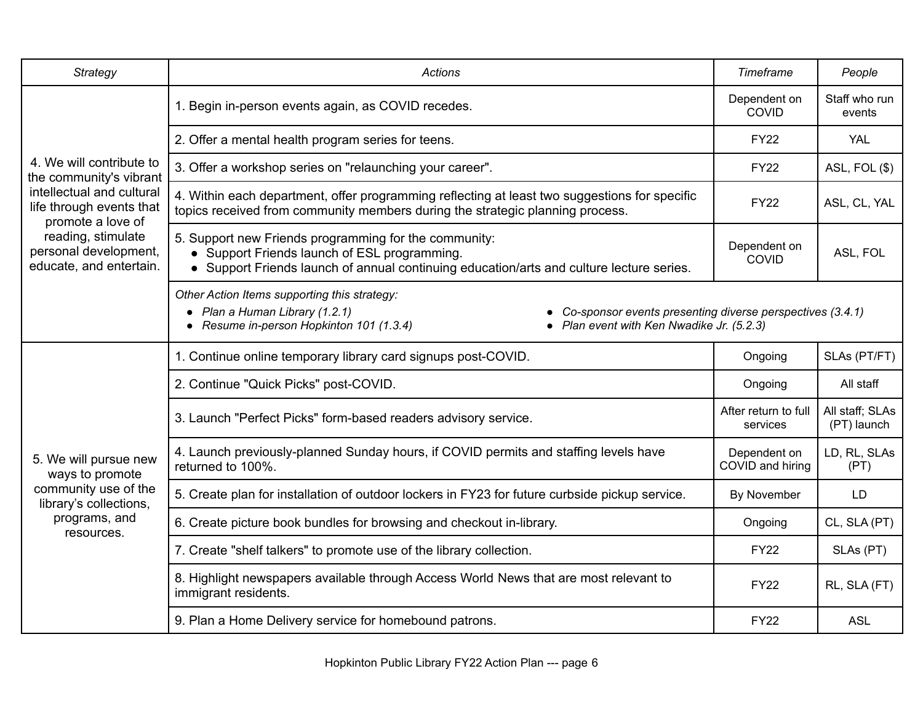| Strategy                                                                      | <b>Actions</b>                                                                                                                                                                                                                       | Timeframe                        | People                         |  |
|-------------------------------------------------------------------------------|--------------------------------------------------------------------------------------------------------------------------------------------------------------------------------------------------------------------------------------|----------------------------------|--------------------------------|--|
|                                                                               | 1. Begin in-person events again, as COVID recedes.                                                                                                                                                                                   | Dependent on<br>COVID            | Staff who run<br>events        |  |
|                                                                               | 2. Offer a mental health program series for teens.                                                                                                                                                                                   | <b>FY22</b>                      | YAL                            |  |
| 4. We will contribute to<br>the community's vibrant                           | 3. Offer a workshop series on "relaunching your career".                                                                                                                                                                             | <b>FY22</b>                      | ASL, FOL (\$)                  |  |
| intellectual and cultural<br>life through events that<br>promote a love of    | 4. Within each department, offer programming reflecting at least two suggestions for specific<br>topics received from community members during the strategic planning process.                                                       | <b>FY22</b>                      | ASL, CL, YAL                   |  |
| reading, stimulate<br>personal development,<br>educate, and entertain.        | 5. Support new Friends programming for the community:<br>• Support Friends launch of ESL programming.<br>• Support Friends launch of annual continuing education/arts and culture lecture series.                                    | Dependent on<br>COVID            | ASL, FOL                       |  |
|                                                                               | Other Action Items supporting this strategy:<br>• Plan a Human Library (1.2.1)<br>Co-sponsor events presenting diverse perspectives (3.4.1)<br>• Resume in-person Hopkinton 101 (1.3.4)<br>• Plan event with Ken Nwadike Jr. (5.2.3) |                                  |                                |  |
|                                                                               | 1. Continue online temporary library card signups post-COVID.                                                                                                                                                                        | Ongoing                          | SLAs (PT/FT)                   |  |
|                                                                               | 2. Continue "Quick Picks" post-COVID.                                                                                                                                                                                                | Ongoing                          | All staff                      |  |
|                                                                               | 3. Launch "Perfect Picks" form-based readers advisory service.                                                                                                                                                                       | After return to full<br>services | All staff; SLAs<br>(PT) launch |  |
| 5. We will pursue new<br>ways to promote                                      | 4. Launch previously-planned Sunday hours, if COVID permits and staffing levels have<br>returned to 100%.                                                                                                                            | Dependent on<br>COVID and hiring | LD, RL, SLAs<br>(PT)           |  |
| community use of the<br>library's collections,<br>programs, and<br>resources. | 5. Create plan for installation of outdoor lockers in FY23 for future curbside pickup service.                                                                                                                                       | By November                      | LD                             |  |
|                                                                               | 6. Create picture book bundles for browsing and checkout in-library.                                                                                                                                                                 | Ongoing                          | CL, SLA (PT)                   |  |
|                                                                               | 7. Create "shelf talkers" to promote use of the library collection.                                                                                                                                                                  | <b>FY22</b>                      | SLAs (PT)                      |  |
|                                                                               | 8. Highlight newspapers available through Access World News that are most relevant to<br>immigrant residents.                                                                                                                        | <b>FY22</b>                      | RL, SLA (FT)                   |  |
|                                                                               | 9. Plan a Home Delivery service for homebound patrons.                                                                                                                                                                               | <b>FY22</b>                      | <b>ASL</b>                     |  |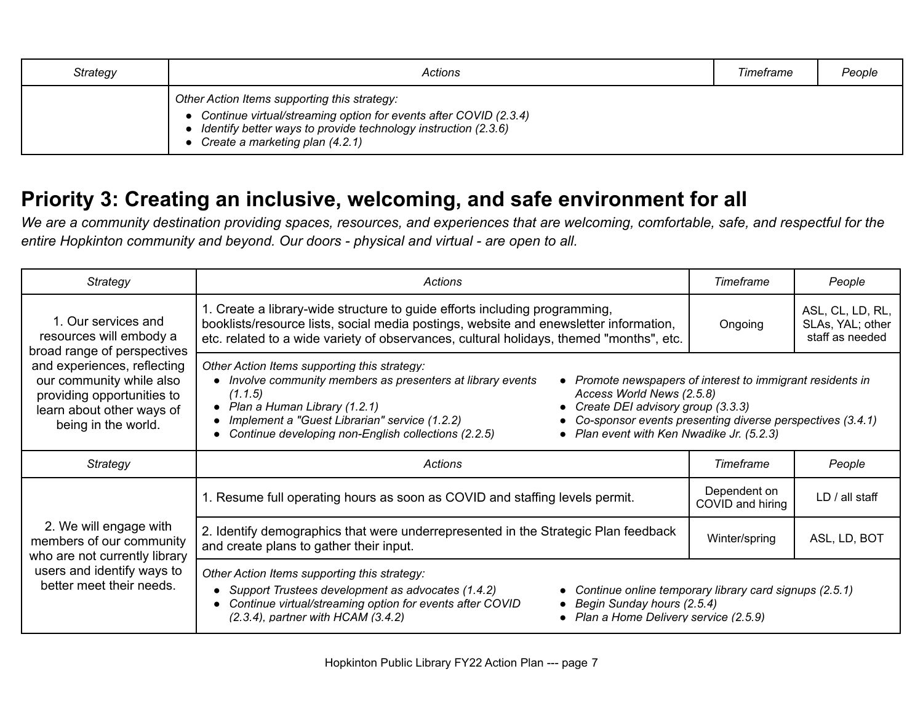| Strategy | Actions                                                                                                                                                                                                                 | Timeframe | People |
|----------|-------------------------------------------------------------------------------------------------------------------------------------------------------------------------------------------------------------------------|-----------|--------|
|          | Other Action Items supporting this strategy:<br>• Continue virtual/streaming option for events after COVID (2.3.4)<br>Identify better ways to provide technology instruction (2.3.6)<br>Create a marketing plan (4.2.1) |           |        |

## **Priority 3: Creating an inclusive, welcoming, and safe environment for all**

*We are a community destination providing spaces, resources, and experiences that are welcoming, comfortable, safe, and respectful for the entire Hopkinton community and beyond. Our doors - physical and virtual - are open to all.*

| Strategy                                                                                                                                                                                                                   | Actions                                                                                                                                                                                                                                                                                                                                                                                                                                                                                                        |                                  | People                                                  |
|----------------------------------------------------------------------------------------------------------------------------------------------------------------------------------------------------------------------------|----------------------------------------------------------------------------------------------------------------------------------------------------------------------------------------------------------------------------------------------------------------------------------------------------------------------------------------------------------------------------------------------------------------------------------------------------------------------------------------------------------------|----------------------------------|---------------------------------------------------------|
| 1. Our services and<br>resources will embody a<br>broad range of perspectives<br>and experiences, reflecting<br>our community while also<br>providing opportunities to<br>learn about other ways of<br>being in the world. | 1. Create a library-wide structure to guide efforts including programming,<br>booklists/resource lists, social media postings, website and enewsletter information,<br>etc. related to a wide variety of observances, cultural holidays, themed "months", etc.                                                                                                                                                                                                                                                 | Ongoing                          | ASL, CL, LD, RL,<br>SLAs, YAL; other<br>staff as needed |
|                                                                                                                                                                                                                            | Other Action Items supporting this strategy:<br>• Involve community members as presenters at library events<br>• Promote newspapers of interest to immigrant residents in<br>Access World News (2.5.8)<br>(1.1.5)<br>• Plan a Human Library (1.2.1)<br>• Create DEI advisory group (3.3.3)<br>• Co-sponsor events presenting diverse perspectives (3.4.1)<br>Implement a "Guest Librarian" service (1.2.2)<br>Continue developing non-English collections (2.2.5)<br>• Plan event with Ken Nwadike Jr. (5.2.3) |                                  |                                                         |
| Strategy                                                                                                                                                                                                                   | Actions                                                                                                                                                                                                                                                                                                                                                                                                                                                                                                        | Timeframe                        | People                                                  |
|                                                                                                                                                                                                                            | 1. Resume full operating hours as soon as COVID and staffing levels permit.                                                                                                                                                                                                                                                                                                                                                                                                                                    | Dependent on<br>COVID and hiring | LD / all staff                                          |
| 2. We will engage with<br>members of our community<br>who are not currently library<br>users and identify ways to<br>better meet their needs.                                                                              | 2. Identify demographics that were underrepresented in the Strategic Plan feedback<br>and create plans to gather their input.                                                                                                                                                                                                                                                                                                                                                                                  | Winter/spring                    | ASL, LD, BOT                                            |
|                                                                                                                                                                                                                            | Other Action Items supporting this strategy:<br>Support Trustees development as advocates (1.4.2)<br>Continue online temporary library card signups (2.5.1)<br>Continue virtual/streaming option for events after COVID<br>• Begin Sunday hours (2.5.4)<br>$(2.3.4)$ , partner with HCAM $(3.4.2)$<br>• Plan a Home Delivery service (2.5.9)                                                                                                                                                                   |                                  |                                                         |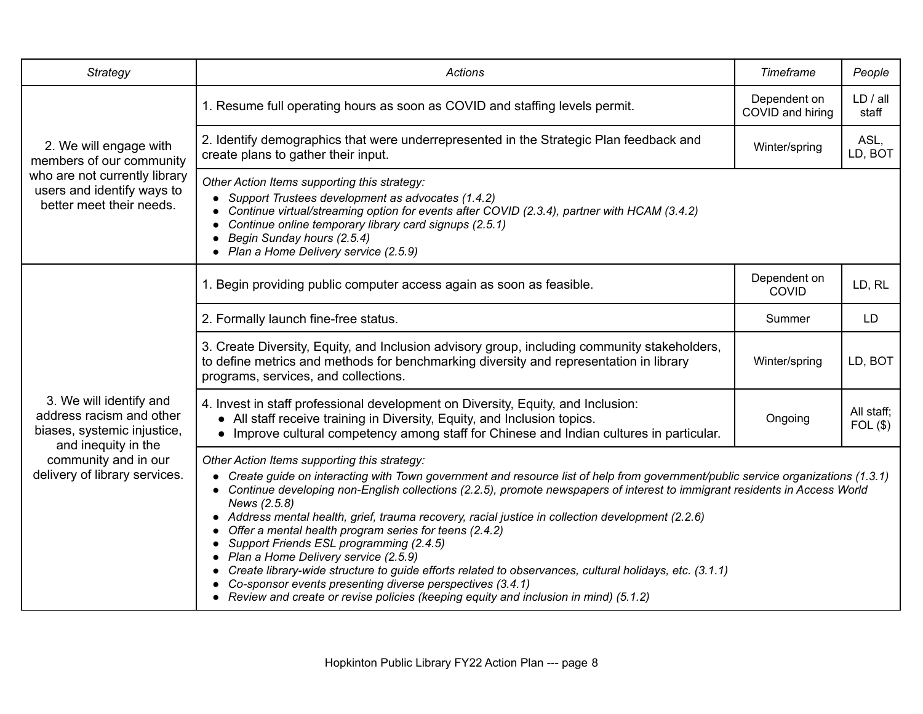| Strategy                                                                                                  | <b>Actions</b>                                                                                                                                                                                                                                                                                                                                                                                                                                                                                                                                                                                                                                                                                                                                                                                                                                          | Timeframe                        | People                |
|-----------------------------------------------------------------------------------------------------------|---------------------------------------------------------------------------------------------------------------------------------------------------------------------------------------------------------------------------------------------------------------------------------------------------------------------------------------------------------------------------------------------------------------------------------------------------------------------------------------------------------------------------------------------------------------------------------------------------------------------------------------------------------------------------------------------------------------------------------------------------------------------------------------------------------------------------------------------------------|----------------------------------|-----------------------|
|                                                                                                           | 1. Resume full operating hours as soon as COVID and staffing levels permit.                                                                                                                                                                                                                                                                                                                                                                                                                                                                                                                                                                                                                                                                                                                                                                             | Dependent on<br>COVID and hiring | LD / all<br>staff     |
| 2. We will engage with<br>members of our community                                                        | 2. Identify demographics that were underrepresented in the Strategic Plan feedback and<br>create plans to gather their input.                                                                                                                                                                                                                                                                                                                                                                                                                                                                                                                                                                                                                                                                                                                           | Winter/spring                    | ASL,<br>LD, BOT       |
| who are not currently library<br>users and identify ways to<br>better meet their needs.                   | Other Action Items supporting this strategy:<br>• Support Trustees development as advocates (1.4.2)<br>Continue virtual/streaming option for events after COVID (2.3.4), partner with HCAM (3.4.2)<br>Continue online temporary library card signups (2.5.1)<br>• Begin Sunday hours (2.5.4)<br>• Plan a Home Delivery service (2.5.9)                                                                                                                                                                                                                                                                                                                                                                                                                                                                                                                  |                                  |                       |
|                                                                                                           | 1. Begin providing public computer access again as soon as feasible.                                                                                                                                                                                                                                                                                                                                                                                                                                                                                                                                                                                                                                                                                                                                                                                    | Dependent on<br>COVID            | LD, RL                |
|                                                                                                           | 2. Formally launch fine-free status.                                                                                                                                                                                                                                                                                                                                                                                                                                                                                                                                                                                                                                                                                                                                                                                                                    | Summer                           | <b>LD</b>             |
|                                                                                                           | 3. Create Diversity, Equity, and Inclusion advisory group, including community stakeholders,<br>to define metrics and methods for benchmarking diversity and representation in library<br>programs, services, and collections.                                                                                                                                                                                                                                                                                                                                                                                                                                                                                                                                                                                                                          | Winter/spring                    | LD, BOT               |
| 3. We will identify and<br>address racism and other<br>biases, systemic injustice,<br>and inequity in the | 4. Invest in staff professional development on Diversity, Equity, and Inclusion:<br>• All staff receive training in Diversity, Equity, and Inclusion topics.<br>• Improve cultural competency among staff for Chinese and Indian cultures in particular.                                                                                                                                                                                                                                                                                                                                                                                                                                                                                                                                                                                                | Ongoing                          | All staff:<br>FOL(\$) |
| community and in our<br>delivery of library services.                                                     | Other Action Items supporting this strategy:<br>• Create guide on interacting with Town government and resource list of help from government/public service organizations (1.3.1)<br>• Continue developing non-English collections (2.2.5), promote newspapers of interest to immigrant residents in Access World<br>News (2.5.8)<br>• Address mental health, grief, trauma recovery, racial justice in collection development (2.2.6)<br>Offer a mental health program series for teens (2.4.2)<br>• Support Friends ESL programming (2.4.5)<br>• Plan a Home Delivery service (2.5.9)<br>Create library-wide structure to guide efforts related to observances, cultural holidays, etc. (3.1.1)<br>Co-sponsor events presenting diverse perspectives (3.4.1)<br>• Review and create or revise policies (keeping equity and inclusion in mind) (5.1.2) |                                  |                       |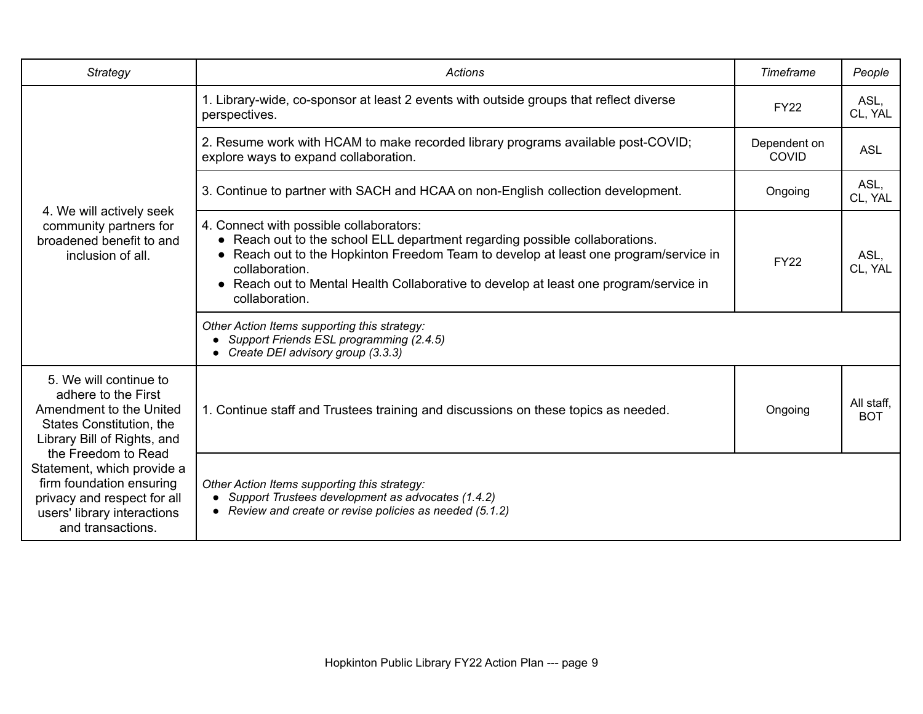| Strategy                                                                                                                                                                                                                                                                                                | <b>Actions</b>                                                                                                                                                                                                                                                                                                                              | Timeframe                    | People                   |
|---------------------------------------------------------------------------------------------------------------------------------------------------------------------------------------------------------------------------------------------------------------------------------------------------------|---------------------------------------------------------------------------------------------------------------------------------------------------------------------------------------------------------------------------------------------------------------------------------------------------------------------------------------------|------------------------------|--------------------------|
|                                                                                                                                                                                                                                                                                                         | 1. Library-wide, co-sponsor at least 2 events with outside groups that reflect diverse<br>perspectives.                                                                                                                                                                                                                                     | <b>FY22</b>                  | ASL,<br>CL, YAL          |
|                                                                                                                                                                                                                                                                                                         | 2. Resume work with HCAM to make recorded library programs available post-COVID;<br>explore ways to expand collaboration.                                                                                                                                                                                                                   | Dependent on<br><b>COVID</b> | <b>ASL</b>               |
|                                                                                                                                                                                                                                                                                                         | 3. Continue to partner with SACH and HCAA on non-English collection development.                                                                                                                                                                                                                                                            | Ongoing                      | ASL.<br>CL, YAL          |
| 4. We will actively seek<br>community partners for<br>broadened benefit to and<br>inclusion of all.                                                                                                                                                                                                     | 4. Connect with possible collaborators:<br>• Reach out to the school ELL department regarding possible collaborations.<br>• Reach out to the Hopkinton Freedom Team to develop at least one program/service in<br>collaboration.<br>• Reach out to Mental Health Collaborative to develop at least one program/service in<br>collaboration. | <b>FY22</b>                  | ASL,<br>CL, YAL          |
|                                                                                                                                                                                                                                                                                                         | Other Action Items supporting this strategy:<br>• Support Friends ESL programming (2.4.5)<br>• Create DEI advisory group (3.3.3)                                                                                                                                                                                                            |                              |                          |
| 5. We will continue to<br>adhere to the First<br>Amendment to the United<br>States Constitution, the<br>Library Bill of Rights, and<br>the Freedom to Read<br>Statement, which provide a<br>firm foundation ensuring<br>privacy and respect for all<br>users' library interactions<br>and transactions. | 1. Continue staff and Trustees training and discussions on these topics as needed.                                                                                                                                                                                                                                                          | Ongoing                      | All staff,<br><b>BOT</b> |
|                                                                                                                                                                                                                                                                                                         | Other Action Items supporting this strategy:<br>• Support Trustees development as advocates (1.4.2)<br>• Review and create or revise policies as needed (5.1.2)                                                                                                                                                                             |                              |                          |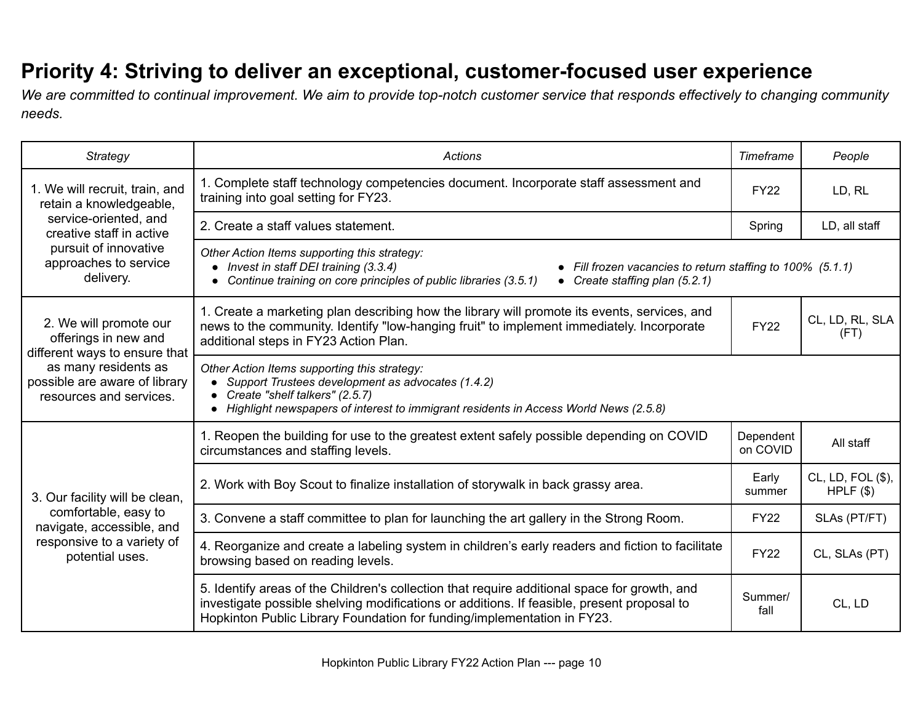## **Priority 4: Striving to deliver an exceptional, customer-focused user experience**

*We are committed to continual improvement. We aim to provide top-notch customer service that responds effectively to changing community needs.*

| <b>Strategy</b>                                                                                                                                                     | Actions                                                                                                                                                                                                                                                               | Timeframe             | People                             |
|---------------------------------------------------------------------------------------------------------------------------------------------------------------------|-----------------------------------------------------------------------------------------------------------------------------------------------------------------------------------------------------------------------------------------------------------------------|-----------------------|------------------------------------|
| 1. We will recruit, train, and<br>retain a knowledgeable,                                                                                                           | 1. Complete staff technology competencies document. Incorporate staff assessment and<br>training into goal setting for FY23.                                                                                                                                          | <b>FY22</b>           | LD, RL                             |
| service-oriented, and<br>creative staff in active                                                                                                                   | 2. Create a staff values statement.                                                                                                                                                                                                                                   | Spring                | LD, all staff                      |
| pursuit of innovative<br>approaches to service<br>delivery.                                                                                                         | Other Action Items supporting this strategy:<br>• Invest in staff DEI training (3.3.4)<br>• Fill frozen vacancies to return staffing to 100% (5.1.1)<br>Continue training on core principles of public libraries (3.5.1)<br>• Create staffing plan (5.2.1)            |                       |                                    |
| 2. We will promote our<br>offerings in new and<br>different ways to ensure that<br>as many residents as<br>possible are aware of library<br>resources and services. | 1. Create a marketing plan describing how the library will promote its events, services, and<br>news to the community. Identify "low-hanging fruit" to implement immediately. Incorporate<br>additional steps in FY23 Action Plan.                                    | <b>FY22</b>           | CL, LD, RL, SLA<br>(FT)            |
|                                                                                                                                                                     | Other Action Items supporting this strategy:<br>• Support Trustees development as advocates (1.4.2)<br>Create "shelf talkers" (2.5.7)<br>• Highlight newspapers of interest to immigrant residents in Access World News (2.5.8)                                       |                       |                                    |
|                                                                                                                                                                     | 1. Reopen the building for use to the greatest extent safely possible depending on COVID<br>circumstances and staffing levels.                                                                                                                                        | Dependent<br>on COVID | All staff                          |
| 3. Our facility will be clean,                                                                                                                                      | 2. Work with Boy Scout to finalize installation of storywalk in back grassy area.                                                                                                                                                                                     | Early<br>summer       | CL, LD, FOL (\$),<br>$HPLF$ $(\$)$ |
| comfortable, easy to<br>navigate, accessible, and<br>responsive to a variety of<br>potential uses.                                                                  | 3. Convene a staff committee to plan for launching the art gallery in the Strong Room.                                                                                                                                                                                | <b>FY22</b>           | SLAs (PT/FT)                       |
|                                                                                                                                                                     | 4. Reorganize and create a labeling system in children's early readers and fiction to facilitate<br>browsing based on reading levels.                                                                                                                                 | <b>FY22</b>           | CL, SLAs (PT)                      |
|                                                                                                                                                                     | 5. Identify areas of the Children's collection that require additional space for growth, and<br>investigate possible shelving modifications or additions. If feasible, present proposal to<br>Hopkinton Public Library Foundation for funding/implementation in FY23. | Summer/<br>fall       | CL, LD                             |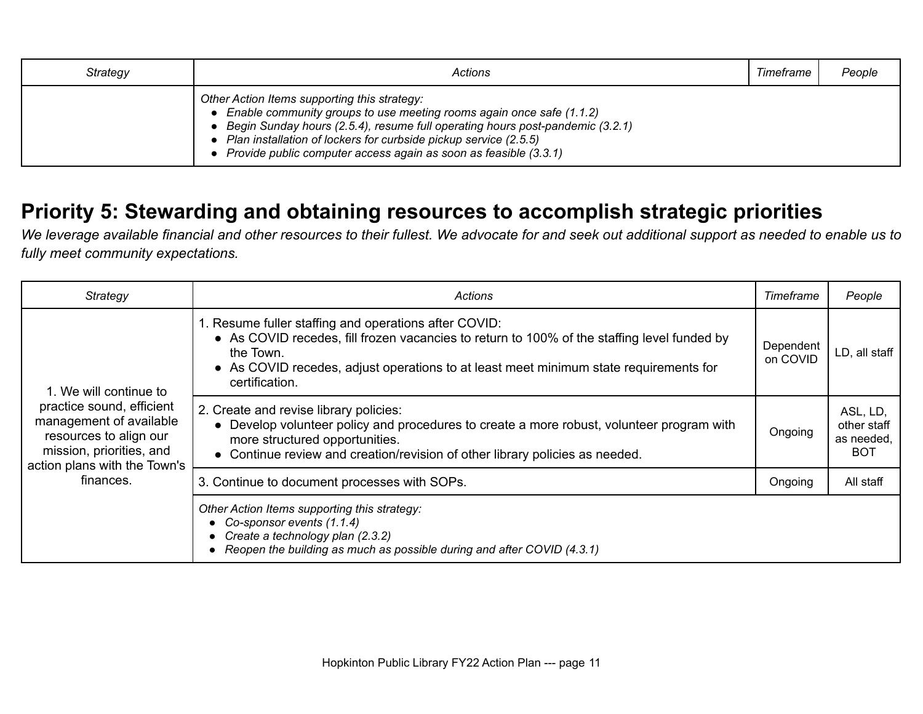| Strategy | Actions                                                                                                                                                                                                                                                                                                                                           | Timeframe | People |
|----------|---------------------------------------------------------------------------------------------------------------------------------------------------------------------------------------------------------------------------------------------------------------------------------------------------------------------------------------------------|-----------|--------|
|          | Other Action Items supporting this strategy:<br>• Enable community groups to use meeting rooms again once safe (1.1.2)<br>Begin Sunday hours (2.5.4), resume full operating hours post-pandemic (3.2.1)<br>Plan installation of lockers for curbside pickup service (2.5.5)<br>• Provide public computer access again as soon as feasible (3.3.1) |           |        |

#### **Priority 5: Stewarding and obtaining resources to accomplish strategic priorities**

*We leverage available financial and other resources to their fullest. We advocate for and seek out additional support as needed to enable us to fully meet community expectations.*

| Strategy                                                                                                                                                                          | Actions                                                                                                                                                                                                                                                                      | Timeframe             | People                                        |
|-----------------------------------------------------------------------------------------------------------------------------------------------------------------------------------|------------------------------------------------------------------------------------------------------------------------------------------------------------------------------------------------------------------------------------------------------------------------------|-----------------------|-----------------------------------------------|
| 1. We will continue to<br>practice sound, efficient<br>management of available<br>resources to align our<br>mission, priorities, and<br>action plans with the Town's<br>finances. | 1. Resume fuller staffing and operations after COVID:<br>• As COVID recedes, fill frozen vacancies to return to 100% of the staffing level funded by<br>the Town.<br>• As COVID recedes, adjust operations to at least meet minimum state requirements for<br>certification. | Dependent<br>on COVID | LD, all staff                                 |
|                                                                                                                                                                                   | 2. Create and revise library policies:<br>• Develop volunteer policy and procedures to create a more robust, volunteer program with<br>more structured opportunities.<br>• Continue review and creation/revision of other library policies as needed.                        | Ongoing               | ASL, LD,<br>other staff<br>as needed,<br>BOT. |
|                                                                                                                                                                                   | 3. Continue to document processes with SOPs.                                                                                                                                                                                                                                 | Ongoing               | All staff                                     |
|                                                                                                                                                                                   | Other Action Items supporting this strategy:<br>Co-sponsor events (1.1.4)<br>Create a technology plan (2.3.2)<br>Reopen the building as much as possible during and after COVID (4.3.1)                                                                                      |                       |                                               |